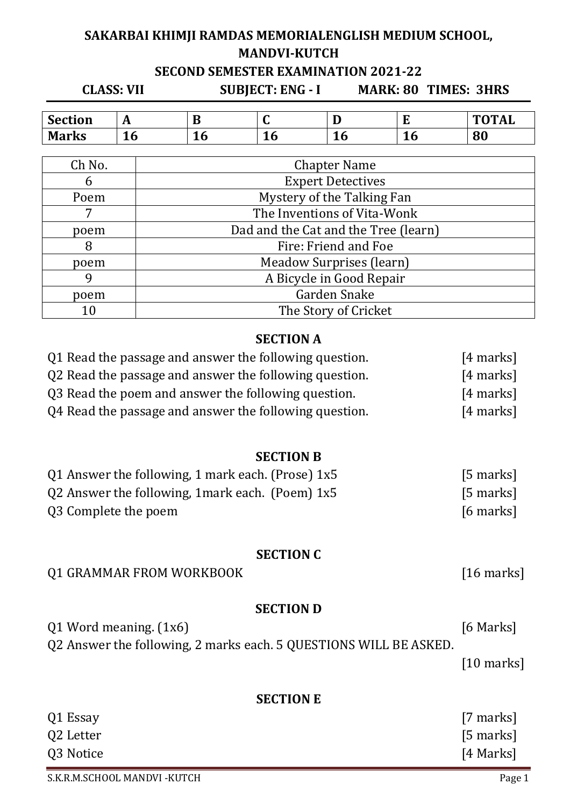# **SAKARBAI KHIMJI RAMDAS MEMORIALENGLISH MEDIUM SCHOOL, MANDVI-KUTCH SECOND SEMESTER EXAMINATION 2021-22**

**CLASS: VII SUBJECT: ENG - I MARK: 80 TIMES: 3HRS**

| <b>Section</b> | <br>л                          | ıБ<br>JD | ີ  | Ð<br>ш                       |    | <b>TOTAL</b> |
|----------------|--------------------------------|----------|----|------------------------------|----|--------------|
| <b>Marks</b>   | $\overline{\phantom{a}}$<br>TÛ | ◢<br>∸∪  | TÔ | $\blacktriangleleft$ .<br>TO | 10 | 80           |

| Ch No. | <b>Chapter Name</b>                  |
|--------|--------------------------------------|
| 6      | <b>Expert Detectives</b>             |
| Poem   | Mystery of the Talking Fan           |
|        | The Inventions of Vita-Wonk          |
| poem   | Dad and the Cat and the Tree (learn) |
| 8      | Fire: Friend and Foe                 |
| poem   | Meadow Surprises (learn)             |
| q      | A Bicycle in Good Repair             |
| poem   | Garden Snake                         |
| 10     | The Story of Cricket                 |

# **SECTION A**

| Q1 Read the passage and answer the following question. | $[4$ marks] |
|--------------------------------------------------------|-------------|
| Q2 Read the passage and answer the following question. | $[4$ marks] |
| Q3 Read the poem and answer the following question.    | $[4$ marks] |
| Q4 Read the passage and answer the following question. | $[4$ marks] |

#### **SECTION B**

| Q1 Answer the following, 1 mark each. (Prose) $1x5$ | [5 marks]   |
|-----------------------------------------------------|-------------|
| Q2 Answer the following, 1 mark each. (Poem) $1x5$  | $[5$ marks] |
| Q3 Complete the poem                                | $[6$ marks] |

#### **SECTION C**

### Q1 GRAMMAR FROM WORKBOOK [16 marks]

#### **SECTION D**

Q1 Word meaning. (1x6) [6 Marks] Q2 Answer the following, 2 marks each. 5 QUESTIONS WILL BE ASKED.

[10 marks]

### **SECTION E**

| Q1 Essay  | [7 marks]   |
|-----------|-------------|
| Q2 Letter | $[5$ marks] |
| Q3 Notice | [4 Marks]   |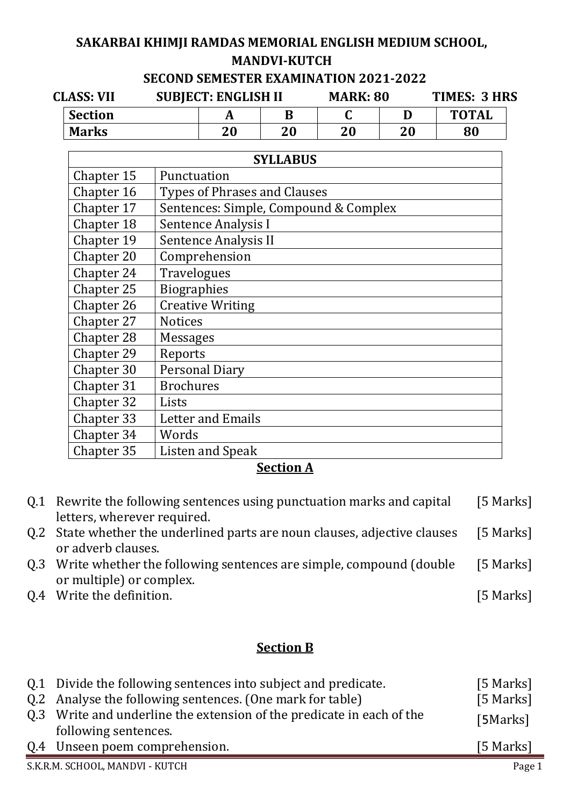# **SAKARBAI KHIMJI RAMDAS MEMORIAL ENGLISH MEDIUM SCHOOL, MANDVI-KUTCH**

### **SECOND SEMESTER EXAMINATION 2021-2022**

| <b>CLASS: VII</b> |                | <b>SUBJECT: ENGLISH II</b> |    | <b>MARK: 80</b> |    | TIMES: 3 HRS |              |  |
|-------------------|----------------|----------------------------|----|-----------------|----|--------------|--------------|--|
|                   | <b>Section</b> |                            |    |                 |    |              | <b>TOTAL</b> |  |
|                   | <b>Marks</b>   |                            | 20 | 20              | 20 | 20           | 80           |  |

| <b>SYLLABUS</b> |                                       |  |  |
|-----------------|---------------------------------------|--|--|
| Chapter 15      | Punctuation                           |  |  |
| Chapter 16      | Types of Phrases and Clauses          |  |  |
| Chapter 17      | Sentences: Simple, Compound & Complex |  |  |
| Chapter 18      | <b>Sentence Analysis I</b>            |  |  |
| Chapter 19      | Sentence Analysis II                  |  |  |
| Chapter 20      | Comprehension                         |  |  |
| Chapter 24      | <b>Travelogues</b>                    |  |  |
| Chapter 25      | <b>Biographies</b>                    |  |  |
| Chapter 26      | <b>Creative Writing</b>               |  |  |
| Chapter 27      | <b>Notices</b>                        |  |  |
| Chapter 28      | <b>Messages</b>                       |  |  |
| Chapter 29      | Reports                               |  |  |
| Chapter 30      | <b>Personal Diary</b>                 |  |  |
| Chapter 31      | <b>Brochures</b>                      |  |  |
| Chapter 32      | Lists                                 |  |  |
| Chapter 33      | <b>Letter and Emails</b>              |  |  |
| Chapter 34      | Words                                 |  |  |
| Chapter 35      | <b>Listen and Speak</b>               |  |  |

# **Section A**

| Q.1 Rewrite the following sentences using punctuation marks and capital<br>letters, wherever required. | [5 Marks] |
|--------------------------------------------------------------------------------------------------------|-----------|
| Q.2 State whether the underlined parts are noun clauses, adjective clauses                             | [5 Marks] |
| or adverb clauses.                                                                                     |           |
| Q.3 Write whether the following sentences are simple, compound (double                                 | [5 Marks] |
| or multiple) or complex.                                                                               |           |
| Q.4 Write the definition.                                                                              | [5 Marks] |

# **Section B**

| Q.1 Divide the following sentences into subject and predicate.<br>Q.2 Analyse the following sentences. (One mark for table)<br>Q.3 Write and underline the extension of the predicate in each of the<br>following sentences. | [5 Marks]<br>[5 Marks]<br>[5Marks] |
|------------------------------------------------------------------------------------------------------------------------------------------------------------------------------------------------------------------------------|------------------------------------|
| Q.4 Unseen poem comprehension.                                                                                                                                                                                               | [5 Marks]                          |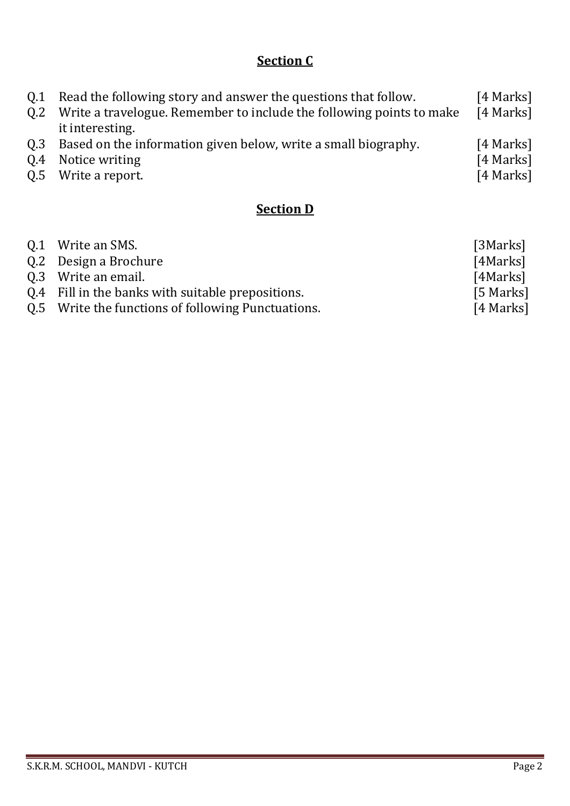# **Section C**

| 0.2 | Q.1 Read the following story and answer the questions that follow.<br>Write a travelogue. Remember to include the following points to make<br>it interesting. | [4 Marks]<br>[4 Marks] |
|-----|---------------------------------------------------------------------------------------------------------------------------------------------------------------|------------------------|
|     | Q.3 Based on the information given below, write a small biography.                                                                                            | [4 Marks]              |
|     | Q.4 Notice writing                                                                                                                                            | [4 Marks]              |
|     | Q.5 Write a report.                                                                                                                                           | [4 Marks]              |

# **Section D**

| Q.1 Write an SMS.                                  | [3Marks]  |
|----------------------------------------------------|-----------|
| Q.2 Design a Brochure                              | [4Marks]  |
| 0.3 Write an email.                                | [4Marks]  |
| Q.4 Fill in the banks with suitable prepositions.  | [5 Marks] |
| Q.5 Write the functions of following Punctuations. | [4 Marks] |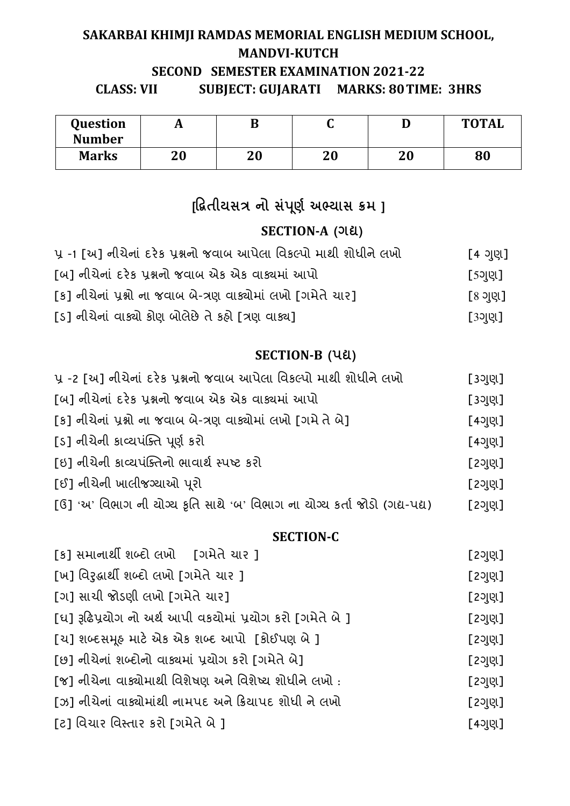# **SAKARBAI KHIMJI RAMDAS MEMORIAL ENGLISH MEDIUM SCHOOL, MANDVI-KUTCH SECOND SEMESTER EXAMINATION 2021-22 CLASS: VII SUBJECT: GUJARATI MARKS: 80 TIME: 3HRS**

| Question      | A  | B  | ັ  | ע  | <b>TOTAL</b> |
|---------------|----|----|----|----|--------------|
| <b>Number</b> |    |    |    |    |              |
| <b>Marks</b>  | 20 | 20 | 20 | 20 | 80           |

# [દ્રિતીયસત્ર નો સંપૂર્ણ અભ્યાસ ક્રમ ]

# SECTION-A<sup>(ગદ્ય)</sup>

| પ્ર -1 [અ] નીચેનાં દરેક પ્રશ્નનો જવાબ આપેલા વિકલ્પો માથી શોધીને લખો | [4 ગણ] |
|---------------------------------------------------------------------|--------|
| [બ] નીચેનાં દરેક પ્રશ્નનો જવાબ એક એક વાક્યમાં આપો                   | [5ગણ]  |
| [ક] નીચેનાં પ્રશ્નો ના જવાબ બે-ત્રણ વાક્યોમાં લખો [ગમેતે ચાર]       | િ ગણી  |
| [ડ] નીચેનાં વાક્યો કોણ બોલેછે તે કહ્યે [ત્રણ વાક્ય]                 | [3ગણ]  |

# **SECTION-B** (પદ્ય)

| પ્ર -2 [અ] નીચેનાં દરેક પ્રશ્નનો જવાબ આપેલા વિકલ્પો માથી શોધીને લખો        | [3ગણ]  |
|----------------------------------------------------------------------------|--------|
| [બ] નીચેનાં દરેક પ્રશ્નનો જવાબ એક એક વાક્યમાં આપો                          | [3ગુણ] |
| [ક] નીચેનાં પ્રશ્નો ના જવાબ બે-ત્રણ વાક્યોમાં લખો [ગમે તે બે]              | [4ગણ]  |
| [s] નીચેની કાવ્યપંક્તિ પૂર્ણ કરો                                           | [4이민]  |
| [ઇ] નીચેની કાવ્યપંક્તિનો ભાવાર્થ સ્પષ્ટ કરો                                | [2이민]  |
| [ઈ] નીચેની ખાલીજગ્યાઓ પુરો                                                 | [2이민]  |
| [ઉ] 'અ' વિભાગ ની ચોગ્ય કૃતિ સાથે 'બ' વિભાગ ના ચોગ્ય કર્તા જોડો (ગદ્ય-પદ્ય) | [2이민]  |

### **SECTION-C**

| [ક] સમાનાર્થી શબ્દો લખો     [ગમેતે ચાર ]                  | [2ગુણ] |
|-----------------------------------------------------------|--------|
| [ખ] વિરૂદ્ધાર્થી શબ્દો લખો [ગમેતે ચાર ]                   | [2ગુણ] |
| [ગ] સાચી જોડણી લખો [ગમેતે યાર]                            | [2ગુણ] |
| [ઘ] રૂઢિપ્રયોગ નો અર્થ આપી વકયોમાં પ્રયોગ કરો [ગમેતે બે ] | [2ગુણ] |
| [ચ] શબ્દસમૂહ માટે એક એક શબ્દ આપો [કોઈપણ બે ]              | [2ગુણ] |
| [છ] નીચેનાં શબ્દોનો વાક્યમાં પ્રયોગ કરો [ગમેતે બે]        | [2ગુણ] |
| [જ] નીચેના વાક્યોમાથી વિશેષણ અને વિશેષ્ય શોધીને લખો :     | [2ગુણ] |
| [ઝ] નીચેનાં વાક્યોમાંથી નામપદ અને ક્રિયાપદ શોધી ને લખો    | [2이민]  |
| [ટ] વિચાર વિસ્તાર કરો [ગમેતે બે ]                         | [4ગુણ] |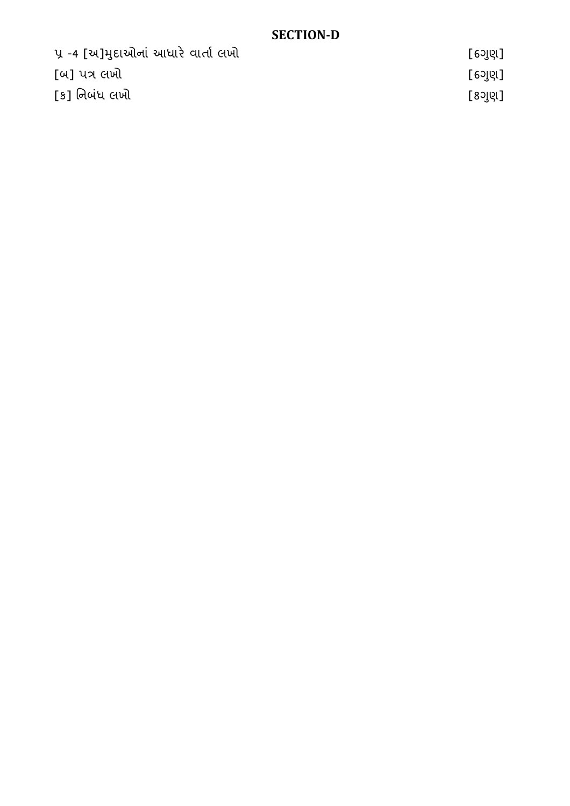# **SECTION-D**

| પ્ર -4 [અ]મુદાઓનાં આધારે વાર્તા લખો | [ 6ગુણ] |
|-------------------------------------|---------|
| [બ] પત્ર લખો                        | [ 6ગુણ] |
| [ક] નિબંધ લખો                       | [8ગુણ]  |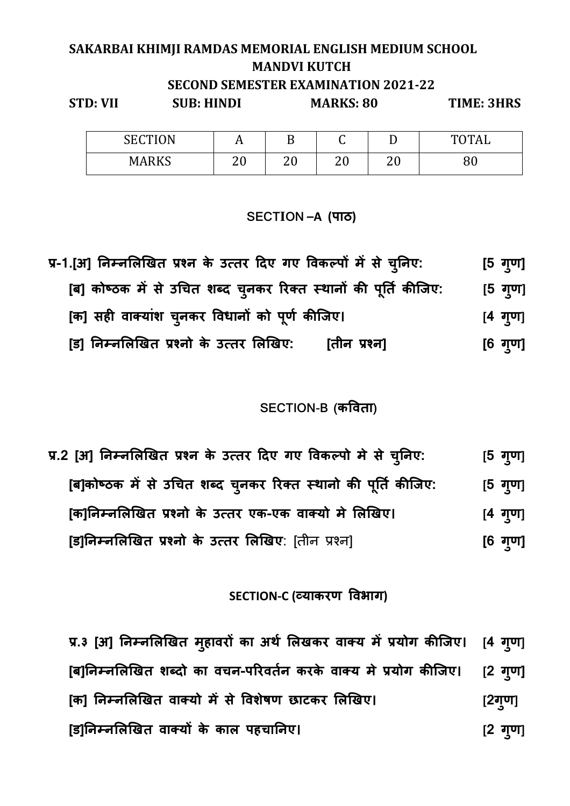# **SAKARBAI KHIMJI RAMDAS MEMORIAL ENGLISH MEDIUM SCHOOL MANDVI KUTCH SECOND SEMESTER EXAMINATION 2021-22 STD: VII SUB: HINDI MARKS: 80 TIME: 3HRS**

| <b>SECTION</b> | A  |    | ⌒<br>ີ | ∸  | <b>TOTAL</b> |
|----------------|----|----|--------|----|--------------|
| <b>MARKS</b>   | ററ | ററ | ററ     | ററ | ററ           |
|                | ∠∪ | ∠∪ | ∠∪     | ∡∪ | ου           |

#### **SECTION –A (पाठ)**

प्र-1.[अ] निम्नलिखित प्रश्न के उत्तर दिए गए विकल्पों में से चुनिए: [5 गुण] [ब] कोष्ठक में से उचित शब्द चुनकर रिक्त स्थानों की पूर्ति कीजिए: **ु ]** [क] सही वाक्याश चुनकर विधानों को पूर्ण कीजिए। [4 गु **ु ण]**  [ड] निम्नलिखित प्रश्नो के उत्तर लिखिए: [तीन प्रश्न] **ुण]** 

### **SECTION-B (कवता)**

प्र.2 [अ] निम्नलिखित प्रश्न के उत्तर दिए गए विकल्पो मे से च्**निए**: **ु [5 ग ु ण]**  $[a]$ कोष्ठक में से उचित शब्द चुनकर रिक्त स्थानो की पूर्ति कीजिए: **ु ण]**  [क]निम्नलिखित प्रश्नो के उत्तर एक-एक वाक्यो मे लिखिए। **ु ण] [ड]निम्नलिखित प्रश्नो के उत्तर लिखिए**: [तीन प्रश्न] **[6 गुण]** 

### **SECTION-C (Dयाकरण वभाग)**

प्र.३ [अ] निम्नलिखित मुहावरो का अर्थ लिखकर वाक्य मे प्रयोग कीजिए। [4 गु **ु ण]** [ब]निम्नलिखित शब्दो का वचन-परिवर्तन करके वाक्य मे प्रयोग कीजिए। **ुण]**  [क] निम्नलिखित वाक्यो में से विशेषण छाटकर लिखिए। [2ग्ण] [ड]निम्नलिखित वाक्यों के काल पहचानिए। **ु ण]**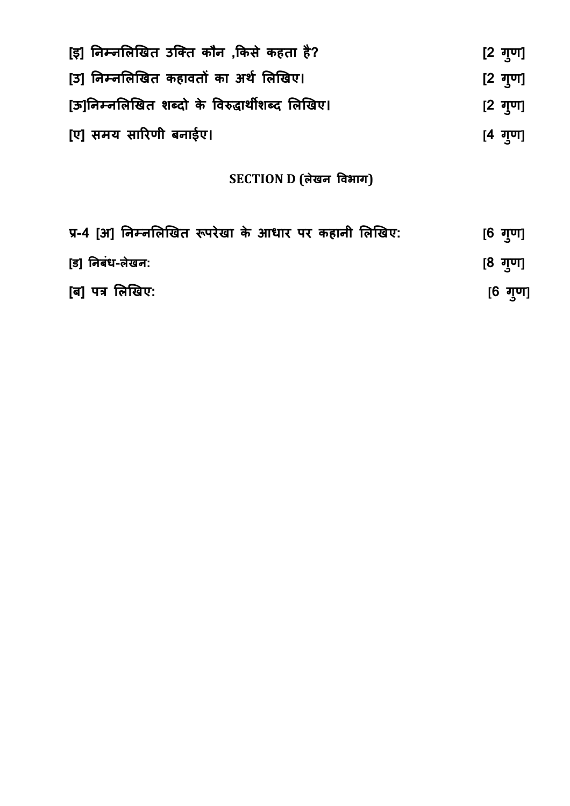| [इ] निम्नलिखित उक्ति कौन ,किसे कहता है?        | [2 गुण]         |  |
|------------------------------------------------|-----------------|--|
| [उ] निम्नलिखित कहावतों का अर्थ लिखिए।          | [2 गुण]         |  |
| [ऊ]निम्नलिखित शब्दो के विरुद्धार्थीशब्द लिखिए। | $[2 \t{q}$ गुण] |  |
| [ए] समय सारिणी बनाईए।                          | $[4 \tanh 4$    |  |

# **SECTION D (लेखन वभाग)**

| प्र-4 [अ] निम्नलिखित रूपरेखा के आधार पर कहानी लिखिए: | [6 गृण] |
|------------------------------------------------------|---------|
| [ड] निबंध-लेखन:                                      | [8 गृण] |
| [ब] पत्र लिखिए:                                      | [6 गुण] |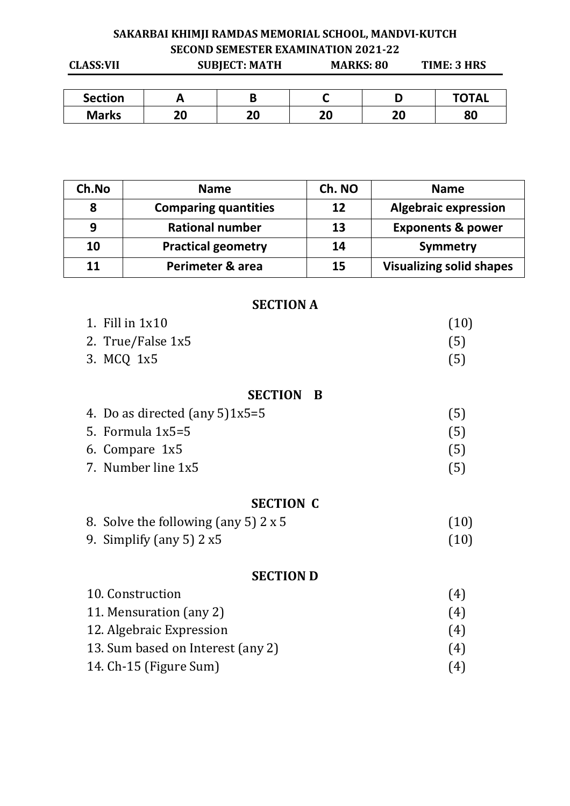# **SAKARBAI KHIMJI RAMDAS MEMORIAL SCHOOL, MANDVI-KUTCH SECOND SEMESTER EXAMINATION 2021-22**

| <b>CLASS:VII</b> |    | <b>SUBJECT: MATH</b> | <b>MARKS: 80</b> |    | TIME: 3 HRS  |  |
|------------------|----|----------------------|------------------|----|--------------|--|
|                  |    |                      |                  |    |              |  |
| <b>Section</b>   |    | B                    |                  |    | <b>TOTAL</b> |  |
| <b>Marks</b>     | 20 | 20                   | 20               | 20 | 80           |  |

| Ch.No | <b>Name</b>                 | Ch. NO | <b>Name</b>                     |
|-------|-----------------------------|--------|---------------------------------|
| 8     | <b>Comparing quantities</b> | 12     | <b>Algebraic expression</b>     |
| 9     | <b>Rational number</b>      | 13     | <b>Exponents &amp; power</b>    |
| 10    | <b>Practical geometry</b>   | 14     | Symmetry                        |
| 11    | Perimeter & area            | 15     | <b>Visualizing solid shapes</b> |

#### **SECTION A**

| 1. Fill in $1x10$                    | (10) |
|--------------------------------------|------|
| 2. True/False 1x5                    | (5)  |
| 3. MCQ 1x5                           | (5)  |
| <b>SECTION B</b>                     |      |
| 4. Do as directed (any $5$ ) $1x5=5$ | (5)  |
| 5. Formula $1x5=5$                   | (5)  |
| 6. Compare 1x5                       | (5)  |
| 7. Number line 1x5                   | (5)  |
| <b>SECTION C</b>                     |      |
| 8. Solve the following (any 5) 2 x 5 |      |

9. Simplify (any 5) 2 x5 (10)

# **SECTION D**

| 10. Construction                  | 4 <sup>1</sup> |
|-----------------------------------|----------------|
| 11. Mensuration (any 2)           | (4)            |
| 12. Algebraic Expression          | (4)            |
| 13. Sum based on Interest (any 2) | (4)            |
| 14. Ch-15 (Figure Sum)            | (4)            |
|                                   |                |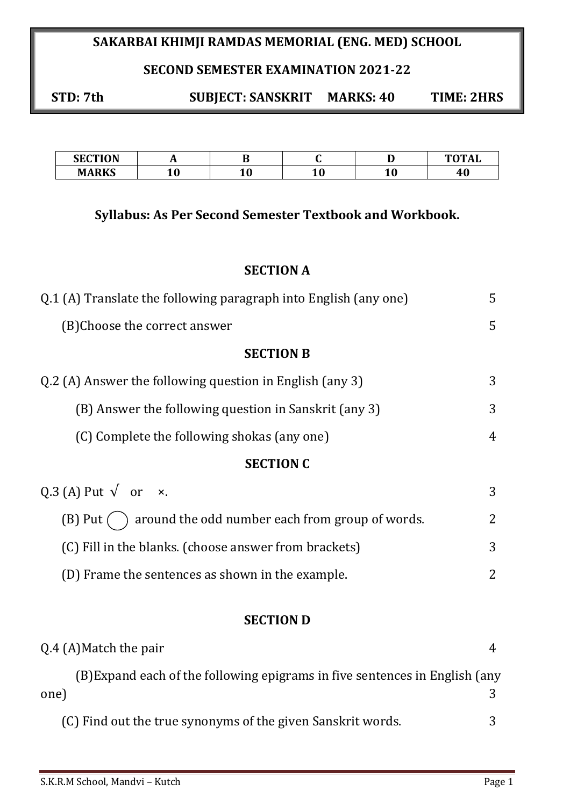# **SAKARBAI KHIMJI RAMDAS MEMORIAL (ENG. MED) SCHOOL**

### **SECOND SEMESTER EXAMINATION 2021-22**

**STD: 7th SUBJECT: SANSKRIT MARKS: 40 TIME: 2HRS** 

| <b>SECTION</b><br>m<br>JЕ | . . |    |    | $m$ $m$ $i$ |
|---------------------------|-----|----|----|-------------|
| <b>MARKS</b>              |     | ∸∪ | ∸∾ | чu          |

### **Syllabus: As Per Second Semester Textbook and Workbook.**

#### **SECTION A**

| Q.1 (A) Translate the following paragraph into English (any one) | 5              |
|------------------------------------------------------------------|----------------|
| (B) Choose the correct answer                                    | 5              |
| <b>SECTION B</b>                                                 |                |
| Q.2 (A) Answer the following question in English (any 3)         | 3              |
| (B) Answer the following question in Sanskrit (any 3)            | 3              |
| (C) Complete the following shokas (any one)                      | 4              |
| <b>SECTION C</b>                                                 |                |
| Q.3 (A) Put $\sqrt{\ }$ or $\times$ .                            | 3              |
| $(B)$ Put $($ ) around the odd number each from group of words.  | $\overline{2}$ |
| (C) Fill in the blanks. (choose answer from brackets)            | 3              |
| (D) Frame the sentences as shown in the example.                 | 2              |
|                                                                  |                |
| <b>SECTION D</b>                                                 |                |
| Q.4 (A) Match the pair                                           | 4              |

 (B)Expand each of the following epigrams in five sentences in English (any one) 3 (C) Find out the true synonyms of the given Sanskrit words. 3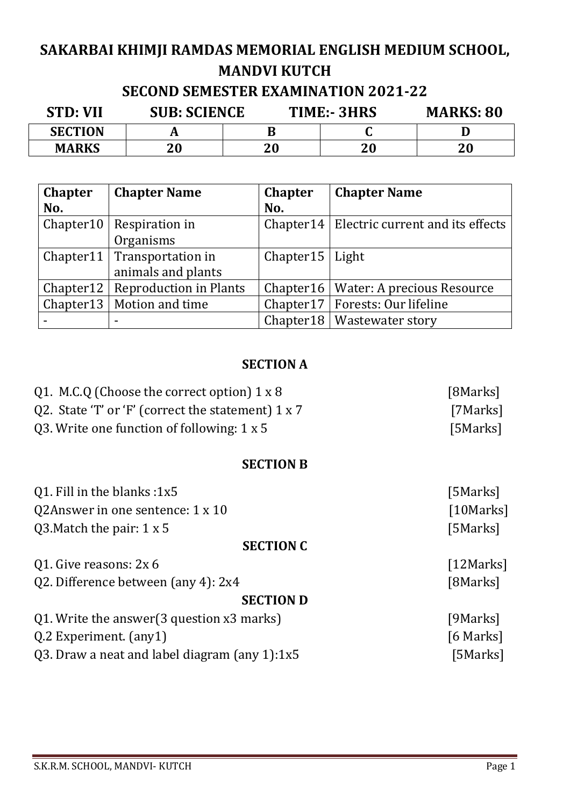# **SAKARBAI KHIMJI RAMDAS MEMORIAL ENGLISH MEDIUM SCHOOL, MANDVI KUTCH**

# **SECOND SEMESTER EXAMINATION 2021-22**

| <b>STD: VII</b> | <b>SUB: SCIENCE</b> |    | TIME:-3HRS |    |
|-----------------|---------------------|----|------------|----|
| <b>SECTION</b>  |                     |    |            |    |
| <b>MARKS</b>    | 20                  | 20 | 20         | 20 |

| <b>Chapter</b> | <b>Chapter Name</b>                | <b>Chapter</b>     | <b>Chapter Name</b>                           |
|----------------|------------------------------------|--------------------|-----------------------------------------------|
| No.            |                                    | No.                |                                               |
|                | Chapter $10$ Respiration in        |                    | Chapter 14   Electric current and its effects |
|                | Organisms                          |                    |                                               |
|                | Chapter11   Transportation in      | Chapter $15$ Light |                                               |
|                | animals and plants                 |                    |                                               |
|                | Chapter12   Reproduction in Plants |                    | Chapter16   Water: A precious Resource        |
|                | Chapter 13   Motion and time       |                    | Chapter17   Forests: Our lifeline             |
|                | $\blacksquare$                     |                    | Chapter 18   Wastewater story                 |

# **SECTION A**

| Q1. M.C.Q (Choose the correct option) $1 \times 8$ | [8Marks]   |
|----------------------------------------------------|------------|
| Q2. State 'T' or 'F' (correct the statement) 1 x 7 | [7Marks]   |
| Q3. Write one function of following: $1 \times 5$  | [5Marks]   |
| <b>SECTION B</b>                                   |            |
| Q1. Fill in the blanks: 1x5                        | [5Marks]   |
| Q2Answer in one sentence: 1 x 10                   | [10Marks]  |
| Q3. Match the pair: $1 \times 5$                   | [5Marks]   |
| <b>SECTION C</b>                                   |            |
| Q1. Give reasons: 2x 6                             | [12 Marks] |
| Q2. Difference between (any 4): 2x4                | [8Marks]   |
| <b>SECTION D</b>                                   |            |
| Q1. Write the answer (3 question x3 marks)         | [9Marks]   |
| Q.2 Experiment. (any1)                             | [6 Marks]  |
| Q3. Draw a neat and label diagram (any 1):1x5      | [5Marks]   |